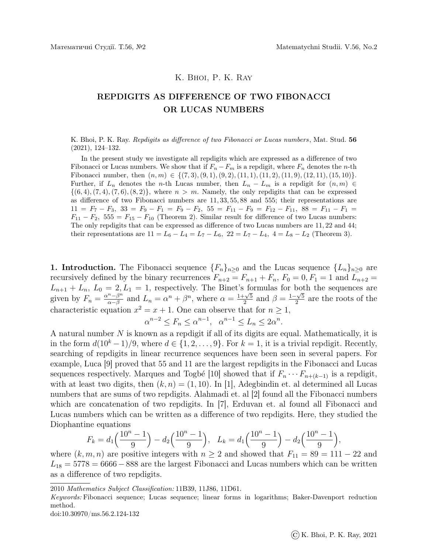## K. Bhoi, P. K. Ray

## REPDIGITS AS DIFFERENCE OF TWO FIBONACCI OR LUCAS NUMBERS

K. Bhoi, P. K. Ray. *Repdigits as difference of two Fibonacci or Lucas numbers*, Mat. Stud. 56 (2021), 124–132.

In the present study we investigate all repdigits which are expressed as a difference of two Fibonacci or Lucas numbers. We show that if  $F_n - F_m$  is a repdigit, where  $F_n$  denotes the n-th Fibonacci number, then  $(n, m) \in \{(7, 3), (9, 1), (9, 2), (11, 1), (11, 2), (11, 9), (12, 11), (15, 10)\}.$ Further, if  $L_n$  denotes the n-th Lucas number, then  $L_n - L_m$  is a repdigit for  $(n, m) \in$  $\{(6, 4), (7, 4), (7, 6), (8, 2)\}\$ , where  $n > m$ . Namely, the only repdigits that can be expressed as difference of two Fibonacci numbers are 11, 33, 55, 88 and 555; their representations are  $11 = F_7 - F_3$ ,  $33 = F_9 - F_1 = F_9 - F_2$ ,  $55 = F_{11} - F_9 = F_{12} - F_{11}$ ,  $88 = F_{11} - F_1 =$  $F_{11} - F_2$ , 555 =  $F_{15} - F_{10}$  (Theorem 2). Similar result for difference of two Lucas numbers: The only repdigits that can be expressed as difference of two Lucas numbers are 11, 22 and 44; their representations are  $11 = L_6 - L_4 = L_7 - L_6$ ,  $22 = L_7 - L_4$ ,  $4 = L_8 - L_2$  (Theorem 3).

1. Introduction. The Fibonacci sequence  ${F_n}_{n\geq 0}$  and the Lucas sequence  ${L_n}_{n\geq 0}$  are recursively defined by the binary recurrences  $F_{n+2} = F_{n+1} + F_n$ ,  $F_0 = 0$ ,  $F_1 = 1$  and  $L_{n+2} =$  $L_{n+1} + L_n$ ,  $L_0 = 2, L_1 = 1$ , respectively. The Binet's formulas for both the sequences are given by  $F_n = \frac{\alpha^n - \beta^n}{\alpha - \beta}$  $\frac{n-\beta^n}{\alpha-\beta}$  and  $L_n = \alpha^n + \beta^n$ , where  $\alpha = \frac{1+\sqrt{5}}{2}$  $\frac{\sqrt{5}}{2}$  and  $\beta = \frac{1-\sqrt{5}}{2}$  $\frac{2}{2}$  are the roots of the characteristic equation  $x^2 = x + 1$ . One can observe that for  $n \ge 1$ ,

$$
\alpha^{n-2} \le F_n \le \alpha^{n-1}, \ \alpha^{n-1} \le L_n \le 2\alpha^n.
$$

A natural number N is known as a repdigit if all of its digits are equal. Mathematically, it is in the form  $d(10^k-1)/9$ , where  $d \in \{1, 2, ..., 9\}$ . For  $k = 1$ , it is a trivial repdigit. Recently, searching of repdigits in linear recurrence sequences have been seen in several papers. For example, Luca [9] proved that 55 and 11 are the largest repdigits in the Fibonacci and Lucas sequences respectively. Marques and Togbé [10] showed that if  $F_n \cdots F_{n+(k-1)}$  is a repdigit, with at least two digits, then  $(k, n) = (1, 10)$ . In [1], Adegbindin et. al determined all Lucas numbers that are sums of two repdigits. Alahmadi et. al [2] found all the Fibonacci numbers which are concatenation of two repdigits. In [7], Erduvan et. al found all Fibonacci and Lucas numbers which can be written as a difference of two repdigits. Here, they studied the Diophantine equations

$$
F_k = d_1\left(\frac{10^n - 1}{9}\right) - d_2\left(\frac{10^n - 1}{9}\right), \quad L_k = d_1\left(\frac{10^n - 1}{9}\right) - d_2\left(\frac{10^n - 1}{9}\right),
$$

where  $(k, m, n)$  are positive integers with  $n \geq 2$  and showed that  $F_{11} = 89 = 111 - 22$  and  $L_{18} = 5778 = 6666 - 888$  are the largest Fibonacci and Lucas numbers which can be written as a difference of two repdigits.

doi:10.30970/ms.56.2.124-132

<sup>2010</sup> Mathematics Subject Classification: 11B39, 11J86, 11D61.

Keywords: Fibonacci sequence; Lucas sequence; linear forms in logarithms; Baker-Davenport reduction method.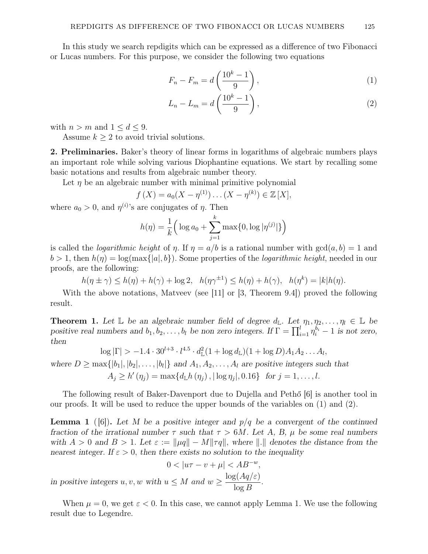In this study we search repdigits which can be expressed as a difference of two Fibonacci or Lucas numbers. For this purpose, we consider the following two equations

$$
F_n - F_m = d\left(\frac{10^k - 1}{9}\right),\tag{1}
$$

$$
L_n - L_m = d\left(\frac{10^k - 1}{9}\right),\tag{2}
$$

with  $n > m$  and  $1 \leq d \leq 9$ .

Assume  $k \geq 2$  to avoid trivial solutions.

2. Preliminaries. Baker's theory of linear forms in logarithms of algebraic numbers plays an important role while solving various Diophantine equations. We start by recalling some basic notations and results from algebraic number theory.

Let  $\eta$  be an algebraic number with minimal primitive polynomial

$$
f(X) = a_0(X - \eta^{(1)}) \dots (X - \eta^{(k)}) \in \mathbb{Z}[X],
$$

where  $a_0 > 0$ , and  $\eta^{(i)}$ 's are conjugates of  $\eta$ . Then

$$
h(\eta) = \frac{1}{k} \Big( \log a_0 + \sum_{j=1}^{k} \max\{0, \log |\eta^{(j)}|\} \Big)
$$

is called the *logarithmic height* of  $\eta$ . If  $\eta = a/b$  is a rational number with  $gcd(a, b) = 1$  and  $b > 1$ , then  $h(\eta) = \log(\max\{|a|, b\})$ . Some properties of the *logarithmic height*, needed in our proofs, are the following:

 $h(\eta \pm \gamma) \leq h(\eta) + h(\gamma) + \log 2$ ,  $h(\eta \gamma^{\pm 1}) \leq h(\eta) + h(\gamma)$ ,  $h(\eta^k) = |k|h(\eta)$ .

With the above notations, Matveev (see [11] or [3, Theorem 9.4]) proved the following result.

**Theorem 1.** Let  $\mathbb{L}$  be an algebraic number field of degree  $d_{\mathbb{L}}$ . Let  $\eta_1, \eta_2, \ldots, \eta_l \in \mathbb{L}$  be positive real numbers and  $b_1, b_2, \ldots, b_l$  be non zero integers. If  $\Gamma = \prod_{i=1}^l \eta_i^{b_i} - 1$  is not zero, then

$$
\log |\Gamma| > -1.4 \cdot 30^{l+3} \cdot l^{4.5} \cdot d_{\mathbb{L}}^2 (1 + \log d_{\mathbb{L}})(1 + \log D) A_1 A_2 \dots A_l,
$$

where  $D \ge \max\{|b_1|, |b_2|, \ldots, |b_l|\}\$  and  $A_1, A_2, \ldots, A_l$  are positive integers such that  $A_j \ge h'(\eta_j) = \max\{d_{\mathbb{L}}h(\eta_j), |\log \eta_j|, 0.16\}$  for  $j = 1, ..., l$ .

The following result of Baker-Davenport due to Dujella and Pethő [6] is another tool in our proofs. It will be used to reduce the upper bounds of the variables on (1) and (2).

**Lemma 1** ([6]). Let M be a positive integer and  $p/q$  be a convergent of the continued fraction of the irrational number  $\tau$  such that  $\tau > 6M$ . Let A, B,  $\mu$  be some real numbers with  $A > 0$  and  $B > 1$ . Let  $\varepsilon := ||\mu q|| - M||\tau q||$ , where  $||.||$  denotes the distance from the nearest integer. If  $\varepsilon > 0$ , then there exists no solution to the inequality

$$
0 < |u\tau - v + \mu| < AB^{-w},
$$
  
in positive integers u, v, w with  $u \le M$  and  $w \ge \frac{\log(Aq/\varepsilon)}{\log B}$ .

When  $\mu = 0$ , we get  $\varepsilon < 0$ . In this case, we cannot apply Lemma 1. We use the following result due to Legendre.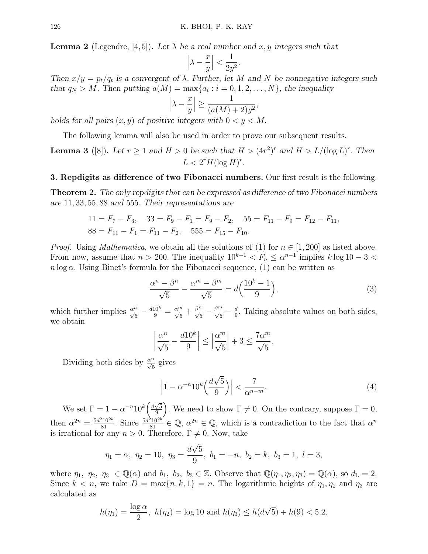**Lemma 2** (Legendre, [4, 5]). Let  $\lambda$  be a real number and x, y integers such that

$$
\left|\lambda - \frac{x}{y}\right| < \frac{1}{2y^2}.
$$

Then  $x/y = p_t/q_t$  is a convergent of  $\lambda$ . Further, let M and N be nonnegative integers such that  $q_N > M$ . Then putting  $a(M) = \max\{a_i : i = 0, 1, 2, ..., N\}$ , the inequality

$$
\left|\lambda - \frac{x}{y}\right| \ge \frac{1}{(a(M) + 2)y^2},
$$

holds for all pairs  $(x, y)$  of positive integers with  $0 < y < M$ .

The following lemma will also be used in order to prove our subsequent results.

**Lemma 3** ([8]). Let  $r \ge 1$  and  $H > 0$  be such that  $H > (4r^2)^r$  and  $H > L/(\log L)^r$ . Then  $L < 2<sup>r</sup> H(\log H)<sup>r</sup>$ .

3. Repdigits as difference of two Fibonacci numbers. Our first result is the following.

Theorem 2. The only repdigits that can be expressed as difference of two Fibonacci numbers are 11, 33, 55, 88 and 555. Their representations are

$$
11 = F_7 - F_3, \quad 33 = F_9 - F_1 = F_9 - F_2, \quad 55 = F_{11} - F_9 = F_{12} - F_{11},
$$
  

$$
88 = F_{11} - F_1 = F_{11} - F_2, \quad 555 = F_{15} - F_{10}.
$$

*Proof.* Using *Mathematica*, we obtain all the solutions of (1) for  $n \in [1, 200]$  as listed above. From now, assume that  $n > 200$ . The inequality  $10^{k-1} < F_n \le \alpha^{n-1}$  implies  $k \log 10 - 3 <$  $n \log \alpha$ . Using Binet's formula for the Fibonacci sequence, (1) can be written as

$$
\frac{\alpha^n - \beta^n}{\sqrt{5}} - \frac{\alpha^m - \beta^m}{\sqrt{5}} = d\left(\frac{10^k - 1}{9}\right),\tag{3}
$$

which further implies  $\frac{\alpha^n}{\sqrt{5}} - \frac{d10^k}{9} = \frac{\alpha^m}{\sqrt{5}} + \frac{\beta^n}{\sqrt{5}} - \frac{\beta^m}{\sqrt{5}} - \frac{d}{9}$  $\frac{d}{9}$ . Taking absolute values on both sides, we obtain

$$
\left|\frac{\alpha^n}{\sqrt{5}} - \frac{d10^k}{9}\right| \le \left|\frac{\alpha^m}{\sqrt{5}}\right| + 3 \le \frac{7\alpha^m}{\sqrt{5}}.
$$

Dividing both sides by  $\frac{\alpha^n}{\sqrt{5}}$  gives

$$
\left|1 - \alpha^{-n} 10^k \left(\frac{d\sqrt{5}}{9}\right)\right| < \frac{7}{\alpha^{n-m}}.\tag{4}
$$

We set  $\Gamma = 1 - \alpha^{-n} 10^k \left( \frac{d\sqrt{5}}{9} \right)$  $\sqrt{\frac{5}{9}}$ . We need to show  $\Gamma \neq 0$ . On the contrary, suppose  $\Gamma = 0$ , then  $\alpha^{2n} = \frac{5d^2 10^{2k}}{81}$ . Since  $\frac{5d^2 10^{2k}}{81} \in \mathbb{Q}$ ,  $\alpha^{2n} \in \mathbb{Q}$ , which is a contradiction to the fact that  $\alpha^n$ is irrational for any  $n > 0$ . Therefore,  $\Gamma \neq 0$ . Now, take

$$
\eta_1 = \alpha, \ \eta_2 = 10, \ \eta_3 = \frac{d\sqrt{5}}{9}, \ b_1 = -n, \ b_2 = k, \ b_3 = 1, \ l = 3,
$$

where  $\eta_1, \eta_2, \eta_3 \in \mathbb{Q}(\alpha)$  and  $b_1, b_2, b_3 \in \mathbb{Z}$ . Observe that  $\mathbb{Q}(\eta_1, \eta_2, \eta_3) = \mathbb{Q}(\alpha)$ , so  $d_{\mathbb{L}} = 2$ . Since  $k < n$ , we take  $D = \max\{n, k, 1\} = n$ . The logarithmic heights of  $\eta_1, \eta_2$  and  $\eta_3$  are calculated as

$$
h(\eta_1) = \frac{\log \alpha}{2}
$$
,  $h(\eta_2) = \log 10$  and  $h(\eta_3) \le h(d\sqrt{5}) + h(9) < 5.2$ .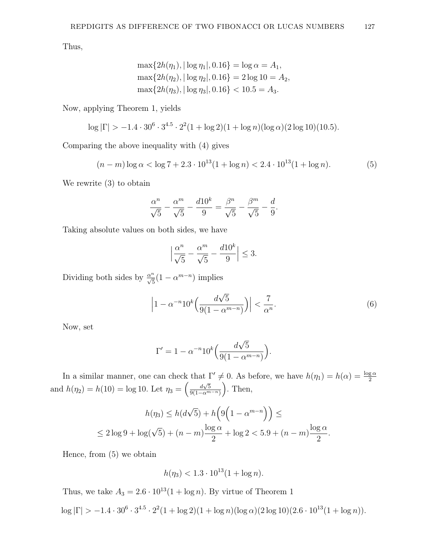Thus,

$$
\max\{2h(\eta_1), |\log \eta_1|, 0.16\} = \log \alpha = A_1,
$$
  

$$
\max\{2h(\eta_2), |\log \eta_2|, 0.16\} = 2\log 10 = A_2,
$$
  

$$
\max\{2h(\eta_3), |\log \eta_3|, 0.16\} < 10.5 = A_3.
$$

Now, applying Theorem 1, yields

$$
\log |\Gamma| > -1.4 \cdot 30^{6} \cdot 3^{4.5} \cdot 2^{2} (1 + \log 2)(1 + \log n)(\log \alpha)(2 \log 10)(10.5).
$$

Comparing the above inequality with (4) gives

$$
(n-m)\log\alpha < \log 7 + 2.3 \cdot 10^{13} (1 + \log n) < 2.4 \cdot 10^{13} (1 + \log n). \tag{5}
$$

We rewrite (3) to obtain

$$
\frac{\alpha^n}{\sqrt{5}} - \frac{\alpha^m}{\sqrt{5}} - \frac{d10^k}{9} = \frac{\beta^n}{\sqrt{5}} - \frac{\beta^m}{\sqrt{5}} - \frac{d}{9}.
$$

Taking absolute values on both sides, we have

$$
\left|\frac{\alpha^n}{\sqrt{5}} - \frac{\alpha^m}{\sqrt{5}} - \frac{d10^k}{9}\right| \le 3.
$$

Dividing both sides by  $\frac{\alpha^n}{\sqrt{5}}(1-\alpha^{m-n})$  implies

$$
\left|1 - \alpha^{-n} 10^k \left(\frac{d\sqrt{5}}{9(1 - \alpha^{m-n})}\right)\right| < \frac{7}{\alpha^n}.\tag{6}
$$

Now, set

$$
\Gamma' = 1 - \alpha^{-n} 10^k \left( \frac{d\sqrt{5}}{9(1 - \alpha^{m-n})} \right).
$$

In a similar manner, one can check that  $\Gamma' \neq 0$ . As before, we have  $h(\eta_1) = h(\alpha) = \frac{\log \alpha}{2}$ and  $h(\eta_2) = h(10) = \log 10$ . Let  $\eta_3 = \left(\frac{d\sqrt{5}}{9(1-\alpha)^m}\right)$  $\frac{d\sqrt{5}}{9(1-\alpha^{m-n})}$ ). Then,

$$
h(\eta_3) \le h(d\sqrt{5}) + h\left(9\left(1 - \alpha^{m-n}\right)\right) \le
$$
  

$$
\le 2\log 9 + \log(\sqrt{5}) + (n-m)\frac{\log \alpha}{2} + \log 2 < 5.9 + (n-m)\frac{\log \alpha}{2}.
$$

Hence, from (5) we obtain

$$
h(\eta_3) < 1.3 \cdot 10^{13} (1 + \log n).
$$

Thus, we take  $A_3 = 2.6 \cdot 10^{13} (1 + \log n)$ . By virtue of Theorem 1

 $\log |\Gamma| > -1.4 \cdot 30^6 \cdot 3^{4.5} \cdot 2^2 (1 + \log 2)(1 + \log n)(\log \alpha)(2 \log 10)(2.6 \cdot 10^{13}(1 + \log n)).$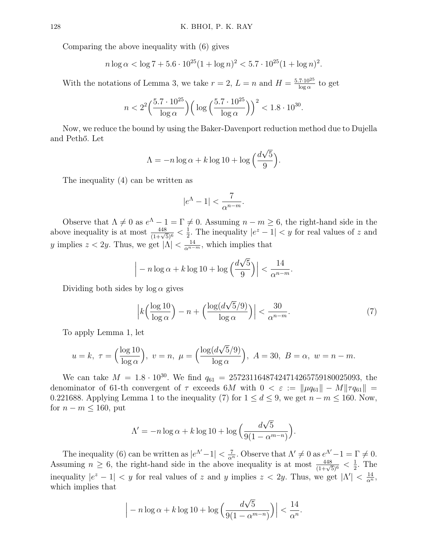Comparing the above inequality with (6) gives

$$
n \log \alpha < \log 7 + 5.6 \cdot 10^{25} (1 + \log n)^2 < 5.7 \cdot 10^{25} (1 + \log n)^2.
$$

With the notations of Lemma 3, we take  $r=2, L=n$  and  $H=\frac{5.7\cdot10^{25}}{\log \alpha}$  $\frac{7\cdot10^{25}}{\log\alpha}$  to get

$$
n < 2^2 \left(\frac{5.7 \cdot 10^{25}}{\log \alpha}\right) \left(\log \left(\frac{5.7 \cdot 10^{25}}{\log \alpha}\right)\right)^2 < 1.8 \cdot 10^{30}.
$$

Now, we reduce the bound by using the Baker-Davenport reduction method due to Dujella and Pethő. Let

$$
\Lambda = -n \log \alpha + k \log 10 + \log \left( \frac{d\sqrt{5}}{9} \right).
$$

The inequality (4) can be written as

$$
|e^{\Lambda}-1|<\frac{7}{\alpha^{n-m}}.
$$

Observe that  $\Lambda \neq 0$  as  $e^{\Lambda} - 1 = \Gamma \neq 0$ . Assuming  $n - m \geq 6$ , the right-hand side in the above inequality is at most  $\frac{448}{(1+\sqrt{5})^6} < \frac{1}{2}$  $\frac{1}{2}$ . The inequality  $|e^z - 1| < y$  for real values of z and y implies  $z < 2y$ . Thus, we get  $|\Lambda| < \frac{14}{\alpha^{n-m}}$ , which implies that

$$
\left| -n \log \alpha + k \log 10 + \log \left( \frac{d \sqrt{5}}{9} \right) \right| < \frac{14}{\alpha^{n-m}}.
$$

Dividing both sides by  $\log \alpha$  gives

$$
\left|k\left(\frac{\log 10}{\log \alpha}\right) - n + \left(\frac{\log (d\sqrt{5}/9)}{\log \alpha}\right)\right| < \frac{30}{\alpha^{n-m}}.\tag{7}
$$

To apply Lemma 1, let

$$
u = k, \ \tau = \left(\frac{\log 10}{\log \alpha}\right), \ v = n, \ \mu = \left(\frac{\log (d\sqrt{5}/9)}{\log \alpha}\right), \ A = 30, \ B = \alpha, \ w = n - m.
$$

We can take  $M = 1.8 \cdot 10^{30}$ . We find  $q_{61} = 25723116487424714265759180025093$ , the denominator of 61-th convergent of  $\tau$  exceeds 6M with  $0 < \varepsilon := ||\mu q_{61}|| - M||\tau q_{61}||$ 0.221688. Applying Lemma 1 to the inequality (7) for  $1 \le d \le 9$ , we get  $n - m \le 160$ . Now, for  $n - m \leq 160$ , put

$$
\Lambda' = -n \log \alpha + k \log 10 + \log \left( \frac{d\sqrt{5}}{9(1 - \alpha^{m-n})} \right).
$$

The inequality (6) can be written as  $|e^{\Lambda'}-1|<\frac{7}{\alpha^n}$ . Observe that  $\Lambda'\neq 0$  as  $e^{\Lambda'}-1=\Gamma\neq 0$ . Assuming  $n \geq 6$ , the right-hand side in the above inequality is at most  $\frac{448}{(1+\sqrt{5})^6} < \frac{1}{2}$  $\frac{1}{2}$ . The inequality  $|e^z - 1| < y$  for real values of z and y implies  $z < 2y$ . Thus, we get  $|\Lambda'| < \frac{14}{\alpha^n}$ , which implies that

$$
\left| -n \log \alpha + k \log 10 + \log \left( \frac{d \sqrt{5}}{9(1 - \alpha^{m-n})} \right) \right| < \frac{14}{\alpha^n}.
$$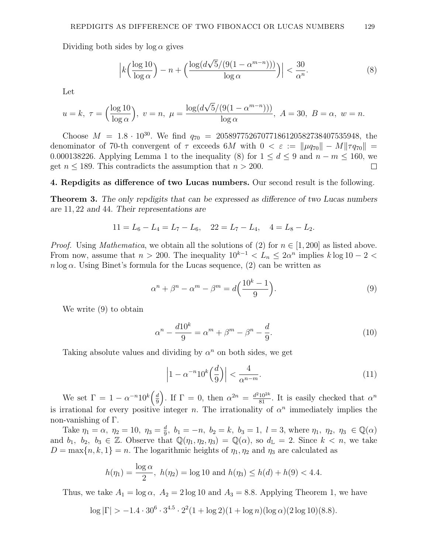Dividing both sides by  $\log \alpha$  gives

$$
\left|k\left(\frac{\log 10}{\log \alpha}\right) - n + \left(\frac{\log (d\sqrt{5}/(9(1-\alpha^{m-n})))}{\log \alpha}\right)\right| < \frac{30}{\alpha^n}.\tag{8}
$$

Let

$$
u = k, \ \tau = \left(\frac{\log 10}{\log \alpha}\right), \ v = n, \ \mu = \frac{\log(d\sqrt{5}/(9(1 - \alpha^{m-n})))}{\log \alpha}, \ A = 30, \ B = \alpha, \ w = n.
$$

Choose  $M = 1.8 \cdot 10^{30}$ . We find  $q_{70} = 20589775267077186120582738407535948$ , the denominator of 70-th convergent of  $\tau$  exceeds 6M with  $0 < \varepsilon := ||\mu q_{70}|| - M||\tau q_{70}|| =$ 0.000138226. Applying Lemma 1 to the inequality (8) for  $1 \leq d \leq 9$  and  $n - m \leq 160$ , we get  $n \leq 189$ . This contradicts the assumption that  $n > 200$ .  $\Box$ 

## 4. Repdigits as difference of two Lucas numbers. Our second result is the following.

Theorem 3. The only repdigits that can be expressed as difference of two Lucas numbers are 11, 22 and 44. Their representations are

$$
11 = L_6 - L_4 = L_7 - L_6, \quad 22 = L_7 - L_4, \quad 4 = L_8 - L_2.
$$

*Proof.* Using *Mathematica*, we obtain all the solutions of (2) for  $n \in [1, 200]$  as listed above. From now, assume that  $n > 200$ . The inequality  $10^{k-1} < L_n \leq 2\alpha^n$  implies  $k \log 10 - 2 <$  $n \log \alpha$ . Using Binet's formula for the Lucas sequence, (2) can be written as

$$
\alpha^n + \beta^n - \alpha^m - \beta^m = d\left(\frac{10^k - 1}{9}\right). \tag{9}
$$

We write (9) to obtain

$$
\alpha^n - \frac{d10^k}{9} = \alpha^m + \beta^m - \beta^n - \frac{d}{9}.\tag{10}
$$

Taking absolute values and dividing by  $\alpha^n$  on both sides, we get

$$
\left|1 - \alpha^{-n} 10^k \left(\frac{d}{9}\right)\right| < \frac{4}{\alpha^{n-m}}.\tag{11}
$$

We set  $\Gamma = 1 - \alpha^{-n} 10^k \left( \frac{d}{2} \right)$  $\left(\frac{d}{9}\right)$ . If  $\Gamma = 0$ , then  $\alpha^{2n} = \frac{d^2 10^{2k}}{81}$ . It is easily checked that  $\alpha^n$ is irrational for every positive integer n. The irrationality of  $\alpha^n$  immediately implies the non-vanishing of Γ.

Take  $\eta_1 = \alpha, \ \eta_2 = 10, \ \eta_3 = \frac{d}{9}$  $\frac{d}{9}$ ,  $b_1 = -n$ ,  $b_2 = k$ ,  $b_3 = 1$ ,  $l = 3$ , where  $\eta_1$ ,  $\eta_2$ ,  $\eta_3 \in \mathbb{Q}(\alpha)$ and  $b_1, b_2, b_3 \in \mathbb{Z}$ . Observe that  $\mathbb{Q}(\eta_1, \eta_2, \eta_3) = \mathbb{Q}(\alpha)$ , so  $d_{\mathbb{L}} = 2$ . Since  $k < n$ , we take  $D = \max\{n, k, 1\} = n$ . The logarithmic heights of  $\eta_1, \eta_2$  and  $\eta_3$  are calculated as

$$
h(\eta_1) = \frac{\log \alpha}{2}
$$
,  $h(\eta_2) = \log 10$  and  $h(\eta_3) \le h(d) + h(9) < 4.4$ .

Thus, we take  $A_1 = \log \alpha$ ,  $A_2 = 2 \log 10$  and  $A_3 = 8.8$ . Applying Theorem 1, we have

$$
\log |\Gamma| > -1.4 \cdot 30^6 \cdot 3^{4.5} \cdot 2^2 (1 + \log 2)(1 + \log n)(\log \alpha)(2 \log 10)(8.8).
$$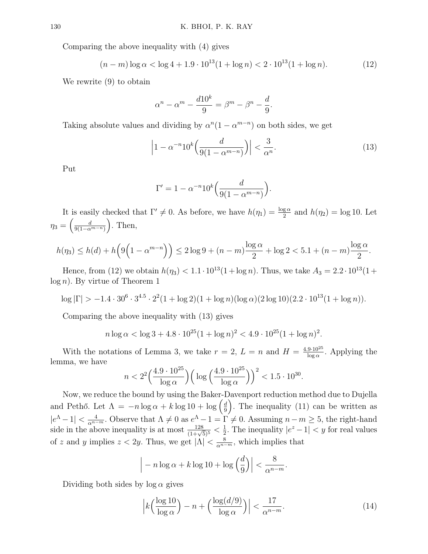Comparing the above inequality with (4) gives

$$
(n-m)\log\alpha < \log 4 + 1.9 \cdot 10^{13} (1 + \log n) < 2 \cdot 10^{13} (1 + \log n). \tag{12}
$$

We rewrite (9) to obtain

$$
\alpha^{n} - \alpha^{m} - \frac{d10^{k}}{9} = \beta^{m} - \beta^{n} - \frac{d}{9}.
$$

Taking absolute values and dividing by  $\alpha^{n}(1-\alpha^{m-n})$  on both sides, we get

$$
\left|1 - \alpha^{-n} 10^k \left(\frac{d}{9(1 - \alpha^{m-n})}\right)\right| < \frac{3}{\alpha^n}.\tag{13}
$$

Put

$$
\Gamma' = 1 - \alpha^{-n} 10^k \left( \frac{d}{9(1 - \alpha^{m-n})} \right).
$$

It is easily checked that  $\Gamma' \neq 0$ . As before, we have  $h(\eta_1) = \frac{\log \alpha}{2}$  and  $h(\eta_2) = \log 10$ . Let  $\eta_3 = \left(\frac{d}{9(1-\alpha)}\right)$  $\frac{d}{9(1-\alpha^{m-n})}$ ). Then,

$$
h(\eta_3) \le h(d) + h\Big(9\Big(1 - \alpha^{m-n}\Big)\Big) \le 2\log 9 + (n-m)\frac{\log \alpha}{2} + \log 2 < 5.1 + (n-m)\frac{\log \alpha}{2}.
$$

Hence, from (12) we obtain  $h(\eta_3) < 1.1 \cdot 10^{13} (1 + \log n)$ . Thus, we take  $A_3 = 2.2 \cdot 10^{13} (1 +$  $log n$ ). By virtue of Theorem 1

$$
\log |\Gamma| > -1.4 \cdot 30^{6} \cdot 3^{4.5} \cdot 2^{2} (1 + \log 2)(1 + \log n)(\log \alpha)(2 \log 10)(2.2 \cdot 10^{13} (1 + \log n)).
$$

Comparing the above inequality with (13) gives

$$
n \log \alpha < \log 3 + 4.8 \cdot 10^{25} (1 + \log n)^2 < 4.9 \cdot 10^{25} (1 + \log n)^2.
$$

With the notations of Lemma 3, we take  $r=2, L=n$  and  $H=\frac{4.9\cdot 10^{25}}{\log a}$  $\frac{9.10^{20}}{\log \alpha}$ . Applying the lemma, we have

$$
n < 2^2 \left(\frac{4.9 \cdot 10^{25}}{\log \alpha}\right) \left(\log \left(\frac{4.9 \cdot 10^{25}}{\log \alpha}\right)\right)^2 < 1.5 \cdot 10^{30}.
$$

Now, we reduce the bound by using the Baker-Davenport reduction method due to Dujella and Pethő. Let  $\Lambda = -n \log \alpha + k \log 10 + \log \left( \frac{d}{a} \right)$  $\frac{d}{9}$ ). The inequality (11) can be written as  $|e^{\Lambda}-1|<\frac{4}{\alpha^{n-m}}$ . Observe that  $\Lambda\neq 0$  as  $e^{\Lambda}-1=\Gamma\neq 0$ . Assuming  $n-m\geq 5$ , the right-hand side in the above inequality is at most  $\frac{128}{(1+\sqrt{5})^5} < \frac{1}{2}$  $\frac{1}{2}$ . The inequality  $|e^z - 1| < y$  for real values of z and y implies  $z < 2y$ . Thus, we get  $|\Lambda| < \frac{8}{\alpha^{n-m}}$ , which implies that

$$
\left| -n \log \alpha + k \log 10 + \log \left( \frac{d}{9} \right) \right| < \frac{8}{\alpha^{n-m}}.
$$

Dividing both sides by  $\log \alpha$  gives

$$
\left|k\left(\frac{\log 10}{\log \alpha}\right) - n + \left(\frac{\log (d/9)}{\log \alpha}\right)\right| < \frac{17}{\alpha^{n-m}}.\tag{14}
$$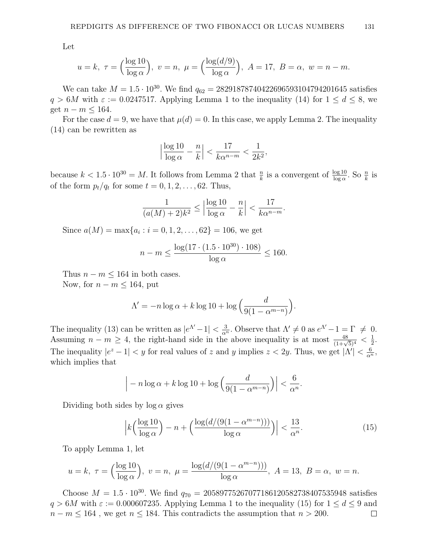Let

$$
u = k, \ \tau = \left(\frac{\log 10}{\log \alpha}\right), \ v = n, \ \mu = \left(\frac{\log(d/9)}{\log \alpha}\right), \ A = 17, \ B = \alpha, \ w = n - m.
$$

We can take  $M = 1.5 \cdot 10^{30}$ . We find  $q_{62} = 28291878740422696593104794201645$  satisfies  $q > 6M$  with  $\varepsilon := 0.0247517$ . Applying Lemma 1 to the inequality (14) for  $1 \leq d \leq 8$ , we get  $n - m \leq 164$ .

For the case  $d = 9$ , we have that  $\mu(d) = 0$ . In this case, we apply Lemma 2. The inequality (14) can be rewritten as

$$
\left|\frac{\log 10}{\log \alpha} - \frac{n}{k}\right| < \frac{17}{k\alpha^{n-m}} < \frac{1}{2k^2},
$$

because  $k < 1.5 \cdot 10^{30} = M$ . It follows from Lemma 2 that  $\frac{n}{k}$  is a convergent of  $\frac{\log 10}{\log \alpha}$ . So  $\frac{n}{k}$  is of the form  $p_t/q_t$  for some  $t = 0, 1, 2, \ldots, 62$ . Thus,

$$
\frac{1}{(a(M)+2)k^2} \le \left|\frac{\log 10}{\log \alpha} - \frac{n}{k}\right| < \frac{17}{k\alpha^{n-m}}
$$

.

.

Since  $a(M) = \max\{a_i : i = 0, 1, 2, \dots, 62\} = 106$ , we get

$$
n - m \le \frac{\log(17 \cdot (1.5 \cdot 10^{30}) \cdot 108)}{\log \alpha} \le 160.
$$

Thus  $n - m \leq 164$  in both cases. Now, for  $n - m \leq 164$ , put

> $\Lambda' = -n \log \alpha + k \log 10 + \log \left( \frac{d}{\alpha} \right)$  $9(1 - \alpha^{m-n})$

The inequality (13) can be written as  $|e^{\Lambda'}-1|<\frac{3}{\alpha^n}$ . Observe that  $\Lambda'\neq 0$  as  $e^{\Lambda'}-1=\Gamma\neq 0$ . Assuming  $n - m \geq 4$ , the right-hand side in the above inequality is at most  $\frac{48}{(1+\sqrt{5})^4} < \frac{1}{2}$  $\frac{1}{2}$ . The inequality  $|e^z - 1| < y$  for real values of z and y implies  $z < 2y$ . Thus, we get  $|\Lambda'| < \frac{6}{\alpha^n}$ , which implies that

$$
\left| -n \log \alpha + k \log 10 + \log \left( \frac{d}{9(1 - \alpha^{m-n})} \right) \right| < \frac{6}{\alpha^n}.
$$

Dividing both sides by  $\log \alpha$  gives

$$
\left| k \left( \frac{\log 10}{\log \alpha} \right) - n + \left( \frac{\log (d / (9(1 - \alpha^{m-n})))}{\log \alpha} \right) \right| < \frac{13}{\alpha^n}.\tag{15}
$$

To apply Lemma 1, let

$$
u = k, \ \tau = \left(\frac{\log 10}{\log \alpha}\right), \ \ v = n, \ \mu = \frac{\log(d/(9(1 - \alpha^{m-n})))}{\log \alpha}, \ A = 13, \ B = \alpha, \ w = n.
$$

Choose  $M = 1.5 \cdot 10^{30}$ . We find  $q_{70} = 20589775267077186120582738407535948$  satisfies  $q > 6M$  with  $\varepsilon := 0.000607235$ . Applying Lemma 1 to the inequality (15) for  $1 \leq d \leq 9$  and  $n - m \leq 164$ , we get  $n \leq 184$ . This contradicts the assumption that  $n > 200$ .  $\Box$